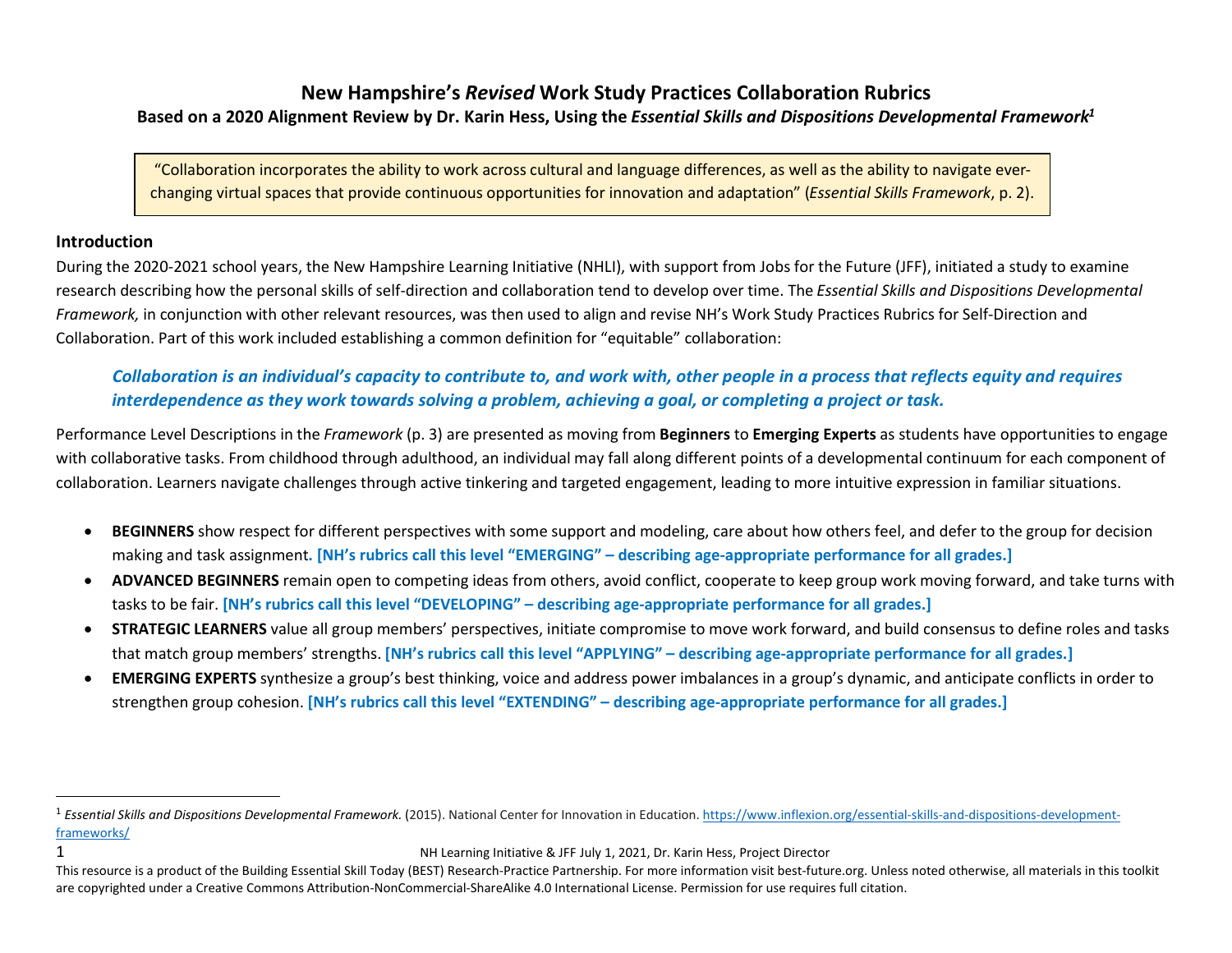## New Hampshire's Revised Work Study Practices Collaboration Rubrics Based on a 2020 Alignment Review by Dr. Karin Hess, Using the Essential Skills and Dispositions Developmental Framework<sup>1</sup>

"Collaboration incorporates the ability to work across cultural and language differences, as well as the ability to navigate everchanging virtual spaces that provide continuous opportunities for innovation and adaptation" (Essential Skills Framework, p. 2).

## Introduction

During the 2020-2021 school years, the New Hampshire Learning Initiative (NHLI), with support from Jobs for the Future (JFF), initiated a study to examine research describing how the personal skills of self-direction and collaboration tend to develop over time. The Essential Skills and Dispositions Developmental Framework, in conjunction with other relevant resources, was then used to align and revise NH's Work Study Practices Rubrics for Self-Direction and Collaboration. Part of this work included establishing a common definition for "equitable" collaboration:

## Collaboration is an individual's capacity to contribute to, and work with, other people in a process that reflects equity and requires interdependence as they work towards solving a problem, achieving a goal, or completing a project or task.

Performance Level Descriptions in the Framework (p. 3) are presented as moving from Beginners to Emerging Experts as students have opportunities to engage with collaborative tasks. From childhood through adulthood, an individual may fall along different points of a developmental continuum for each component of collaboration. Learners navigate challenges through active tinkering and targeted engagement, leading to more intuitive expression in familiar situations.

- BEGINNERS show respect for different perspectives with some support and modeling, care about how others feel, and defer to the group for decision making and task assignment. [NH's rubrics call this level "EMERGING" – describing age-appropriate performance for all grades.]
- ADVANCED BEGINNERS remain open to competing ideas from others, avoid conflict, cooperate to keep group work moving forward, and take turns with tasks to be fair. [NH's rubrics call this level "DEVELOPING" – describing age-appropriate performance for all grades.]
- STRATEGIC LEARNERS value all group members' perspectives, initiate compromise to move work forward, and build consensus to define roles and tasks that match group members' strengths. [NH's rubrics call this level "APPLYING" – describing age-appropriate performance for all grades.]
- EMERGING EXPERTS synthesize a group's best thinking, voice and address power imbalances in a group's dynamic, and anticipate conflicts in order to strengthen group cohesion. [NH's rubrics call this level "EXTENDING" – describing age-appropriate performance for all grades.]

```
1 NH Learning Initiative & JFF July 1, 2021, Dr. Karin Hess, Project Director
```
<sup>&</sup>lt;sup>1</sup> Essential Skills and Dispositions Developmental Framework. (2015). National Center for Innovation in Education. https://www.inflexion.org/essential-skills-and-dispositions-developmentframeworks/

This resource is a product of the Building Essential Skill Today (BEST) Research-Practice Partnership. For more information visit best-future.org. Unless noted otherwise, all materials in this toolkit are copyrighted under a Creative Commons Attribution-NonCommercial-ShareAlike 4.0 International License. Permission for use requires full citation.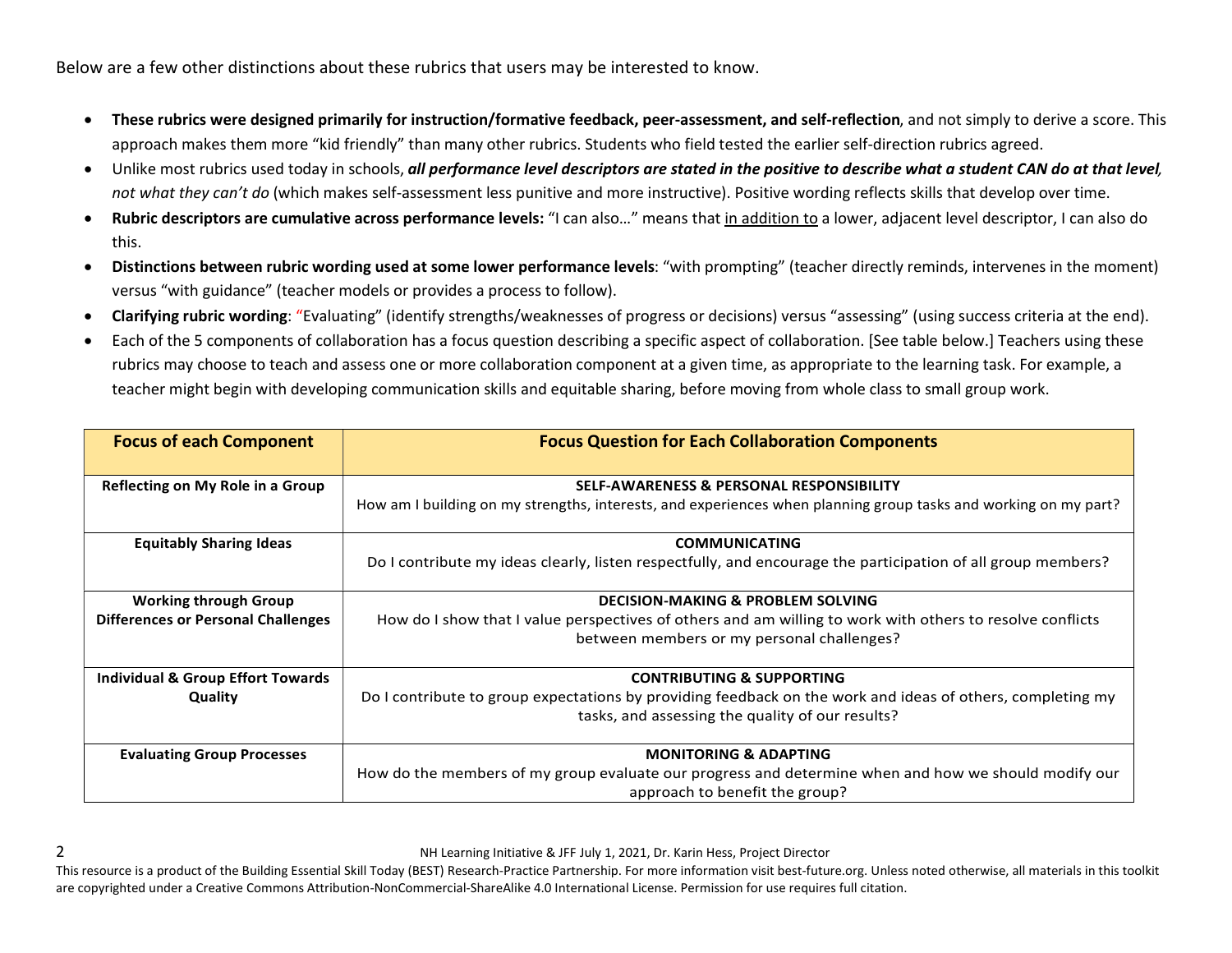Below are a few other distinctions about these rubrics that users may be interested to know.

- These rubrics were designed primarily for instruction/formative feedback, peer-assessment, and self-reflection, and not simply to derive a score. This approach makes them more "kid friendly" than many other rubrics. Students who field tested the earlier self-direction rubrics agreed.
- Unlike most rubrics used today in schools, all performance level descriptors are stated in the positive to describe what a student CAN do at that level, not what they can't do (which makes self-assessment less punitive and more instructive). Positive wording reflects skills that develop over time.
- Rubric descriptors are cumulative across performance levels: "I can also..." means that in addition to a lower, adjacent level descriptor, I can also do this.
- Distinctions between rubric wording used at some lower performance levels: "with prompting" (teacher directly reminds, intervenes in the moment) versus "with guidance" (teacher models or provides a process to follow).
- Clarifying rubric wording: "Evaluating" (identify strengths/weaknesses of progress or decisions) versus "assessing" (using success criteria at the end).
- Each of the 5 components of collaboration has a focus question describing a specific aspect of collaboration. [See table below.] Teachers using these rubrics may choose to teach and assess one or more collaboration component at a given time, as appropriate to the learning task. For example, a teacher might begin with developing communication skills and equitable sharing, before moving from whole class to small group work.

| <b>Focus of each Component</b>               | <b>Focus Question for Each Collaboration Components</b>                                                         |  |
|----------------------------------------------|-----------------------------------------------------------------------------------------------------------------|--|
|                                              |                                                                                                                 |  |
| Reflecting on My Role in a Group             | <b>SELF-AWARENESS &amp; PERSONAL RESPONSIBILITY</b>                                                             |  |
|                                              | How am I building on my strengths, interests, and experiences when planning group tasks and working on my part? |  |
| <b>Equitably Sharing Ideas</b>               | <b>COMMUNICATING</b>                                                                                            |  |
|                                              | Do I contribute my ideas clearly, listen respectfully, and encourage the participation of all group members?    |  |
| <b>Working through Group</b>                 | <b>DECISION-MAKING &amp; PROBLEM SOLVING</b>                                                                    |  |
| <b>Differences or Personal Challenges</b>    | How do I show that I value perspectives of others and am willing to work with others to resolve conflicts       |  |
|                                              | between members or my personal challenges?                                                                      |  |
| <b>Individual &amp; Group Effort Towards</b> | <b>CONTRIBUTING &amp; SUPPORTING</b>                                                                            |  |
| Quality                                      | Do I contribute to group expectations by providing feedback on the work and ideas of others, completing my      |  |
|                                              | tasks, and assessing the quality of our results?                                                                |  |
| <b>Evaluating Group Processes</b>            | <b>MONITORING &amp; ADAPTING</b>                                                                                |  |
|                                              | How do the members of my group evaluate our progress and determine when and how we should modify our            |  |
|                                              | approach to benefit the group?                                                                                  |  |

2 NH Learning Initiative & JFF July 1, 2021, Dr. Karin Hess, Project Director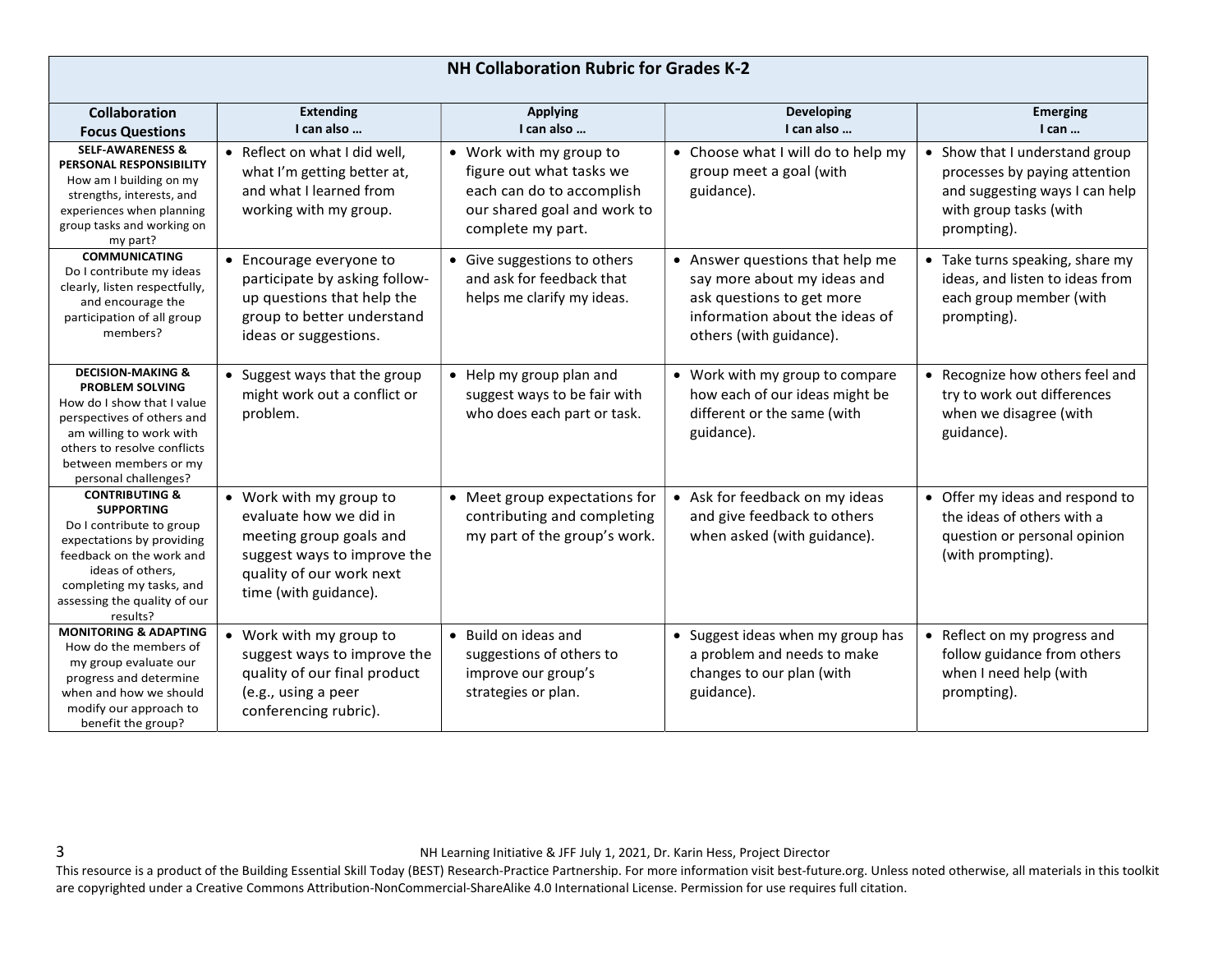| <b>Collaboration</b>                                                                                                                                                                                                            | <b>Extending</b>                                                                                                                                                 | <b>Applying</b>                                                                                                                      | <b>Developing</b>                                                                                                                                        | <b>Emerging</b>                                                                                                                            |
|---------------------------------------------------------------------------------------------------------------------------------------------------------------------------------------------------------------------------------|------------------------------------------------------------------------------------------------------------------------------------------------------------------|--------------------------------------------------------------------------------------------------------------------------------------|----------------------------------------------------------------------------------------------------------------------------------------------------------|--------------------------------------------------------------------------------------------------------------------------------------------|
| <b>Focus Questions</b>                                                                                                                                                                                                          | I can also                                                                                                                                                       | I can also                                                                                                                           | I can also                                                                                                                                               | $l$ can $\ldots$                                                                                                                           |
| <b>SELF-AWARENESS &amp;</b><br>PERSONAL RESPONSIBILITY<br>How am I building on my<br>strengths, interests, and<br>experiences when planning<br>group tasks and working on<br>my part?                                           | • Reflect on what I did well,<br>what I'm getting better at,<br>and what I learned from<br>working with my group.                                                | • Work with my group to<br>figure out what tasks we<br>each can do to accomplish<br>our shared goal and work to<br>complete my part. | • Choose what I will do to help my<br>group meet a goal (with<br>guidance).                                                                              | • Show that I understand group<br>processes by paying attention<br>and suggesting ways I can help<br>with group tasks (with<br>prompting). |
| <b>COMMUNICATING</b><br>Do I contribute my ideas<br>clearly, listen respectfully,<br>and encourage the<br>participation of all group<br>members?                                                                                | • Encourage everyone to<br>participate by asking follow-<br>up questions that help the<br>group to better understand<br>ideas or suggestions.                    | • Give suggestions to others<br>and ask for feedback that<br>helps me clarify my ideas.                                              | • Answer questions that help me<br>say more about my ideas and<br>ask questions to get more<br>information about the ideas of<br>others (with guidance). | • Take turns speaking, share my<br>ideas, and listen to ideas from<br>each group member (with<br>prompting).                               |
| <b>DECISION-MAKING &amp;</b><br><b>PROBLEM SOLVING</b><br>How do I show that I value<br>perspectives of others and<br>am willing to work with<br>others to resolve conflicts<br>between members or my<br>personal challenges?   | • Suggest ways that the group<br>might work out a conflict or<br>problem.                                                                                        | • Help my group plan and<br>suggest ways to be fair with<br>who does each part or task.                                              | • Work with my group to compare<br>how each of our ideas might be<br>different or the same (with<br>guidance).                                           | • Recognize how others feel and<br>try to work out differences<br>when we disagree (with<br>guidance).                                     |
| <b>CONTRIBUTING &amp;</b><br><b>SUPPORTING</b><br>Do I contribute to group<br>expectations by providing<br>feedback on the work and<br>ideas of others,<br>completing my tasks, and<br>assessing the quality of our<br>results? | • Work with my group to<br>evaluate how we did in<br>meeting group goals and<br>suggest ways to improve the<br>quality of our work next<br>time (with guidance). | • Meet group expectations for<br>contributing and completing<br>my part of the group's work.                                         | • Ask for feedback on my ideas<br>and give feedback to others<br>when asked (with guidance).                                                             | • Offer my ideas and respond to<br>the ideas of others with a<br>question or personal opinion<br>(with prompting).                         |
| <b>MONITORING &amp; ADAPTING</b><br>How do the members of<br>my group evaluate our<br>progress and determine<br>when and how we should<br>modify our approach to<br>benefit the group?                                          | • Work with my group to<br>suggest ways to improve the<br>quality of our final product<br>(e.g., using a peer<br>conferencing rubric).                           | • Build on ideas and<br>suggestions of others to<br>improve our group's<br>strategies or plan.                                       | • Suggest ideas when my group has<br>a problem and needs to make<br>changes to our plan (with<br>guidance).                                              | • Reflect on my progress and<br>follow guidance from others<br>when I need help (with<br>prompting).                                       |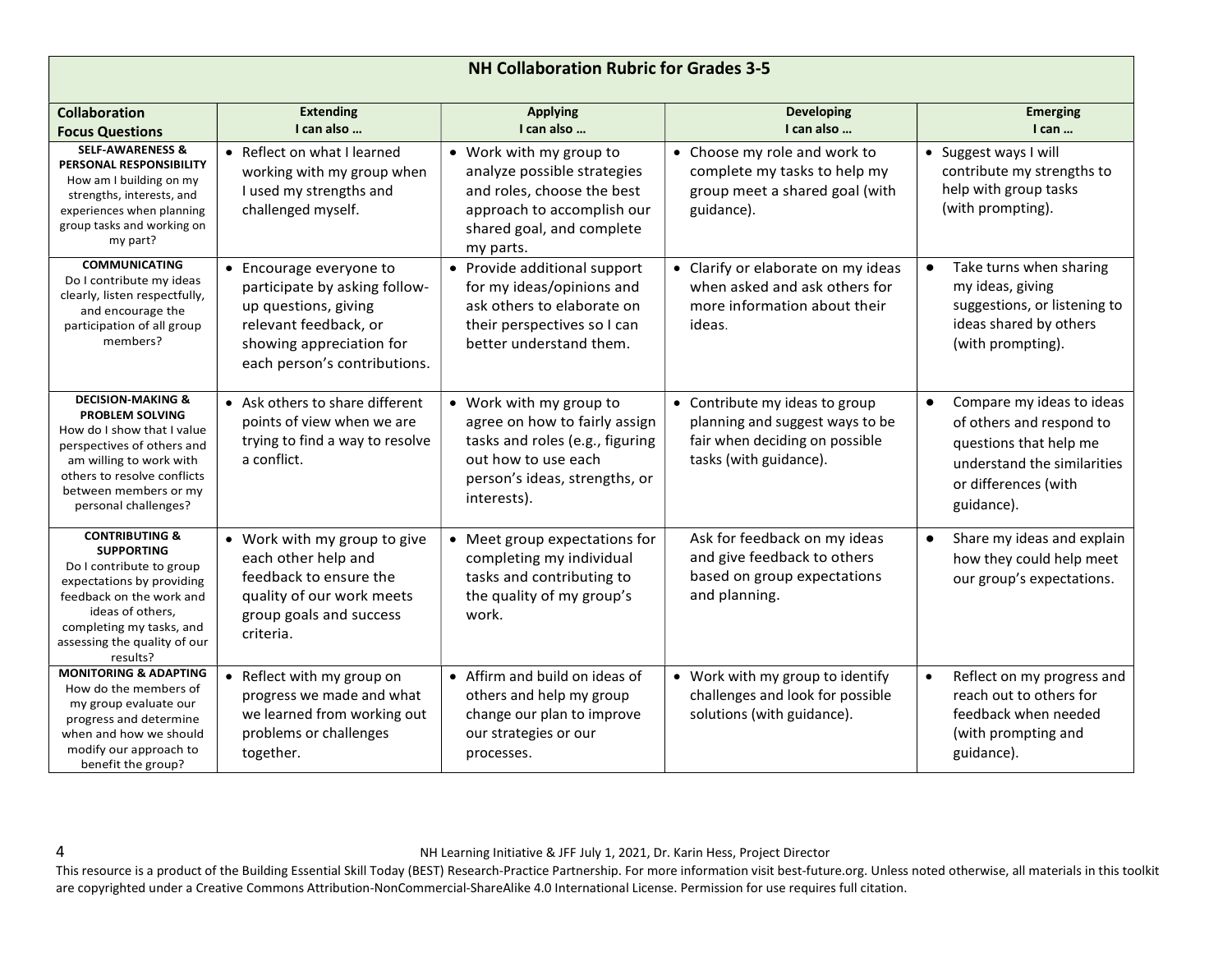|                                                                                                                                                                                                                                 |                                                                                                                                                                       | <b>NH Collaboration Rubric for Grades 3-5</b>                                                                                                                      |                                                                                                                               |                                                                                                                                                                   |
|---------------------------------------------------------------------------------------------------------------------------------------------------------------------------------------------------------------------------------|-----------------------------------------------------------------------------------------------------------------------------------------------------------------------|--------------------------------------------------------------------------------------------------------------------------------------------------------------------|-------------------------------------------------------------------------------------------------------------------------------|-------------------------------------------------------------------------------------------------------------------------------------------------------------------|
| <b>Collaboration</b><br><b>Focus Questions</b>                                                                                                                                                                                  | <b>Extending</b><br>I can also                                                                                                                                        | <b>Applying</b><br>I can also                                                                                                                                      | <b>Developing</b><br>I can also                                                                                               | <b>Emerging</b><br>$l$ can $\ldots$                                                                                                                               |
| <b>SELF-AWARENESS &amp;</b><br>PERSONAL RESPONSIBILITY<br>How am I building on my<br>strengths, interests, and<br>experiences when planning<br>group tasks and working on<br>my part?                                           | Reflect on what I learned<br>$\bullet$<br>working with my group when<br>I used my strengths and<br>challenged myself.                                                 | • Work with my group to<br>analyze possible strategies<br>and roles, choose the best<br>approach to accomplish our<br>shared goal, and complete<br>my parts.       | • Choose my role and work to<br>complete my tasks to help my<br>group meet a shared goal (with<br>guidance).                  | • Suggest ways I will<br>contribute my strengths to<br>help with group tasks<br>(with prompting).                                                                 |
| <b>COMMUNICATING</b><br>Do I contribute my ideas<br>clearly, listen respectfully,<br>and encourage the<br>participation of all group<br>members?                                                                                | • Encourage everyone to<br>participate by asking follow-<br>up questions, giving<br>relevant feedback, or<br>showing appreciation for<br>each person's contributions. | • Provide additional support<br>for my ideas/opinions and<br>ask others to elaborate on<br>their perspectives so I can<br>better understand them.                  | • Clarify or elaborate on my ideas<br>when asked and ask others for<br>more information about their<br>ideas.                 | Take turns when sharing<br>my ideas, giving<br>suggestions, or listening to<br>ideas shared by others<br>(with prompting).                                        |
| <b>DECISION-MAKING &amp;</b><br><b>PROBLEM SOLVING</b><br>How do I show that I value<br>perspectives of others and<br>am willing to work with<br>others to resolve conflicts<br>between members or my<br>personal challenges?   | • Ask others to share different<br>points of view when we are<br>trying to find a way to resolve<br>a conflict.                                                       | • Work with my group to<br>agree on how to fairly assign<br>tasks and roles (e.g., figuring<br>out how to use each<br>person's ideas, strengths, or<br>interests). | • Contribute my ideas to group<br>planning and suggest ways to be<br>fair when deciding on possible<br>tasks (with guidance). | Compare my ideas to ideas<br>$\bullet$<br>of others and respond to<br>questions that help me<br>understand the similarities<br>or differences (with<br>guidance). |
| <b>CONTRIBUTING &amp;</b><br><b>SUPPORTING</b><br>Do I contribute to group<br>expectations by providing<br>feedback on the work and<br>ideas of others,<br>completing my tasks, and<br>assessing the quality of our<br>results? | • Work with my group to give<br>each other help and<br>feedback to ensure the<br>quality of our work meets<br>group goals and success<br>criteria.                    | • Meet group expectations for<br>completing my individual<br>tasks and contributing to<br>the quality of my group's<br>work.                                       | Ask for feedback on my ideas<br>and give feedback to others<br>based on group expectations<br>and planning.                   | Share my ideas and explain<br>$\bullet$<br>how they could help meet<br>our group's expectations.                                                                  |
| <b>MONITORING &amp; ADAPTING</b><br>How do the members of<br>my group evaluate our<br>progress and determine<br>when and how we should<br>modify our approach to<br>benefit the group?                                          | Reflect with my group on<br>progress we made and what<br>we learned from working out<br>problems or challenges<br>together.                                           | • Affirm and build on ideas of<br>others and help my group<br>change our plan to improve<br>our strategies or our<br>processes.                                    | • Work with my group to identify<br>challenges and look for possible<br>solutions (with guidance).                            | Reflect on my progress and<br>$\bullet$<br>reach out to others for<br>feedback when needed<br>(with prompting and<br>guidance).                                   |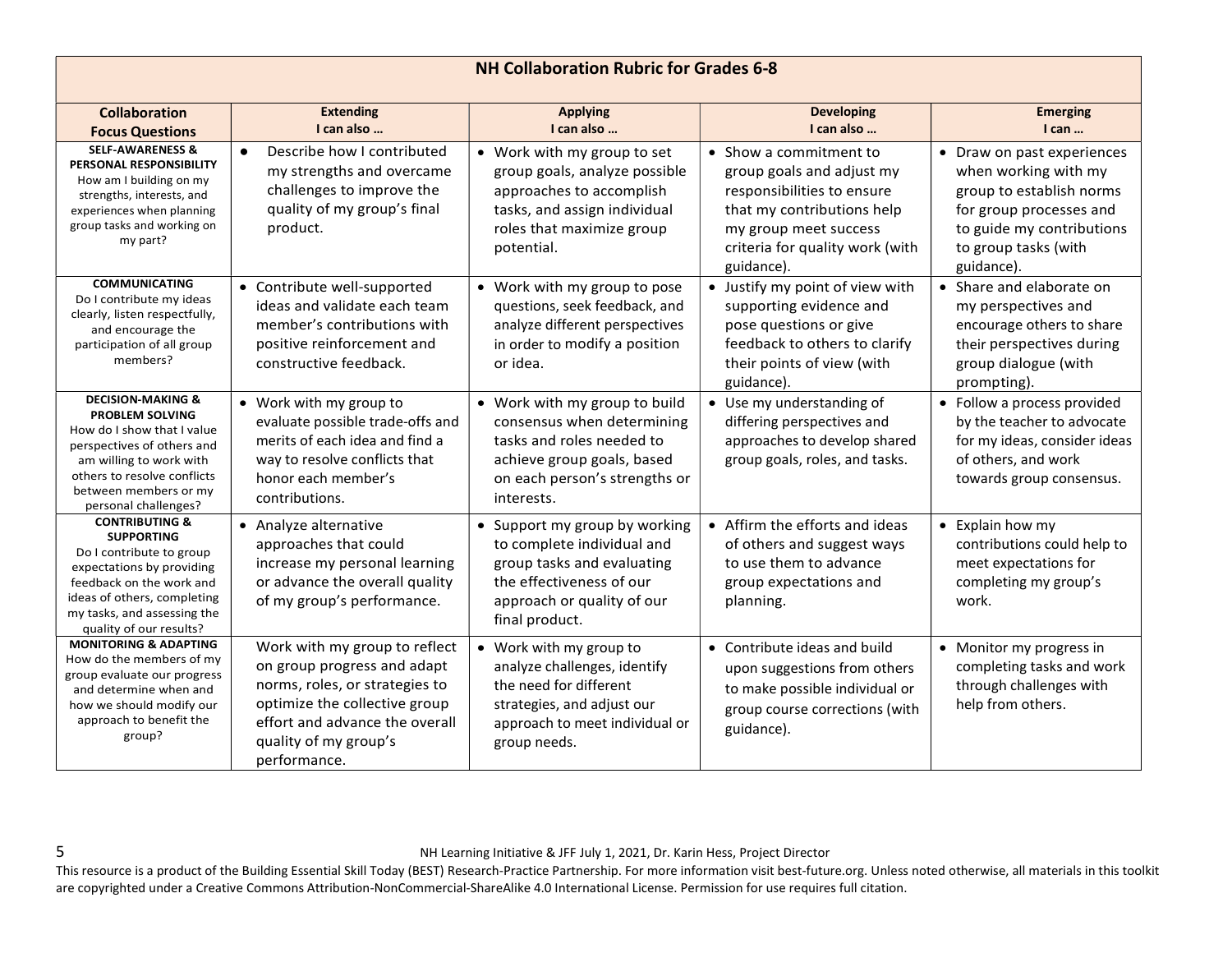| <b>NH Collaboration Rubric for Grades 6-8</b>                                                                                                                                                                                |                                                                                                                                                                                                            |                                                                                                                                                                       |                                                                                                                                                                                           |                                                                                                                                                                              |
|------------------------------------------------------------------------------------------------------------------------------------------------------------------------------------------------------------------------------|------------------------------------------------------------------------------------------------------------------------------------------------------------------------------------------------------------|-----------------------------------------------------------------------------------------------------------------------------------------------------------------------|-------------------------------------------------------------------------------------------------------------------------------------------------------------------------------------------|------------------------------------------------------------------------------------------------------------------------------------------------------------------------------|
| <b>Collaboration</b><br><b>Focus Questions</b>                                                                                                                                                                               | <b>Extending</b><br>I can also                                                                                                                                                                             | <b>Applying</b><br>I can also                                                                                                                                         | <b>Developing</b><br>I can also                                                                                                                                                           | <b>Emerging</b><br>$l$ can $\ldots$                                                                                                                                          |
| <b>SELF-AWARENESS &amp;</b><br>PERSONAL RESPONSIBILITY<br>How am I building on my<br>strengths, interests, and<br>experiences when planning<br>group tasks and working on<br>my part?                                        | Describe how I contributed<br>my strengths and overcame<br>challenges to improve the<br>quality of my group's final<br>product.                                                                            | • Work with my group to set<br>group goals, analyze possible<br>approaches to accomplish<br>tasks, and assign individual<br>roles that maximize group<br>potential.   | • Show a commitment to<br>group goals and adjust my<br>responsibilities to ensure<br>that my contributions help<br>my group meet success<br>criteria for quality work (with<br>guidance). | • Draw on past experiences<br>when working with my<br>group to establish norms<br>for group processes and<br>to guide my contributions<br>to group tasks (with<br>guidance). |
| <b>COMMUNICATING</b><br>Do I contribute my ideas<br>clearly, listen respectfully,<br>and encourage the<br>participation of all group<br>members?                                                                             | • Contribute well-supported<br>ideas and validate each team<br>member's contributions with<br>positive reinforcement and<br>constructive feedback.                                                         | • Work with my group to pose<br>questions, seek feedback, and<br>analyze different perspectives<br>in order to modify a position<br>or idea.                          | • Justify my point of view with<br>supporting evidence and<br>pose questions or give<br>feedback to others to clarify<br>their points of view (with<br>guidance).                         | • Share and elaborate on<br>my perspectives and<br>encourage others to share<br>their perspectives during<br>group dialogue (with<br>prompting).                             |
| <b>DECISION-MAKING &amp;</b><br>PROBLEM SOLVING<br>How do I show that I value<br>perspectives of others and<br>am willing to work with<br>others to resolve conflicts<br>between members or my<br>personal challenges?       | • Work with my group to<br>evaluate possible trade-offs and<br>merits of each idea and find a<br>way to resolve conflicts that<br>honor each member's<br>contributions.                                    | • Work with my group to build<br>consensus when determining<br>tasks and roles needed to<br>achieve group goals, based<br>on each person's strengths or<br>interests. | • Use my understanding of<br>differing perspectives and<br>approaches to develop shared<br>group goals, roles, and tasks.                                                                 | • Follow a process provided<br>by the teacher to advocate<br>for my ideas, consider ideas<br>of others, and work<br>towards group consensus.                                 |
| <b>CONTRIBUTING &amp;</b><br><b>SUPPORTING</b><br>Do I contribute to group<br>expectations by providing<br>feedback on the work and<br>ideas of others, completing<br>my tasks, and assessing the<br>quality of our results? | • Analyze alternative<br>approaches that could<br>increase my personal learning<br>or advance the overall quality<br>of my group's performance.                                                            | • Support my group by working<br>to complete individual and<br>group tasks and evaluating<br>the effectiveness of our<br>approach or quality of our<br>final product. | • Affirm the efforts and ideas<br>of others and suggest ways<br>to use them to advance<br>group expectations and<br>planning.                                                             | • Explain how my<br>contributions could help to<br>meet expectations for<br>completing my group's<br>work.                                                                   |
| <b>MONITORING &amp; ADAPTING</b><br>How do the members of my<br>group evaluate our progress<br>and determine when and<br>how we should modify our<br>approach to benefit the<br>group?                                       | Work with my group to reflect<br>on group progress and adapt<br>norms, roles, or strategies to<br>optimize the collective group<br>effort and advance the overall<br>quality of my group's<br>performance. | • Work with my group to<br>analyze challenges, identify<br>the need for different<br>strategies, and adjust our<br>approach to meet individual or<br>group needs.     | • Contribute ideas and build<br>upon suggestions from others<br>to make possible individual or<br>group course corrections (with<br>guidance).                                            | • Monitor my progress in<br>completing tasks and work<br>through challenges with<br>help from others.                                                                        |